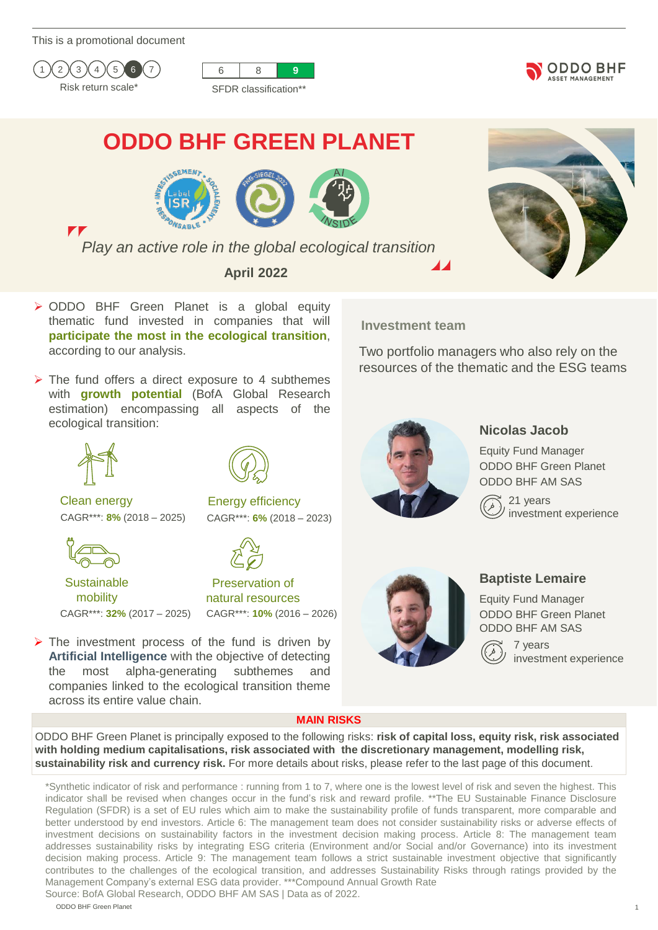This is a promotional document



 $\mathbf{r}$ 





# **ODDO BHF GREEN PLANET**







*Play an active role in the global ecological transition*

**April 2022**

**Investment team**

Two portfolio managers who also rely on the resources of the thematic and the ESG teams

with **growth potential** (BofA Global Research estimation) encompassing all aspects of the ecological transition:

➢ ODDO BHF Green Planet is a global equity thematic fund invested in companies that will **participate the most in the ecological transition**,

 $\triangleright$  The fund offers a direct exposure to 4 subthemes



Clean energy Energy efficiency

according to our analysis.



**Sustainable** mobility CAGR\*\*\*: **32%** (2017 – 2025) CAGR\*\*\*: **10%** (2016 – 2026)



CAGR\*\*\*: **8%** (2018 – 2025) CAGR\*\*\*: **6%** (2018 – 2023)

Preservation of natural resources

 $\triangleright$  The investment process of the fund is driven by **Artificial Intelligence** with the objective of detecting the most alpha-generating subthemes and companies linked to the ecological transition theme across its entire value chain.



# **Nicolas Jacob**

Equity Fund Manager ODDO BHF Green Planet ODDO BHF AM SAS

21 years investment experience



# **Baptiste Lemaire**

Equity Fund Manager ODDO BHF Green Planet ODDO BHF AM SAS

> 7 years investment experience

### **MAIN RISKS**

ODDO BHF Green Planet is principally exposed to the following risks: **risk of capital loss, equity risk, risk associated with holding medium capitalisations, risk associated with the discretionary management, modelling risk, sustainability risk and currency risk.** For more details about risks, please refer to the last page of this document.

\*Synthetic indicator of risk and performance : running from 1 to 7, where one is the lowest level of risk and seven the highest. This indicator shall be revised when changes occur in the fund's risk and reward profile. \*\*The EU Sustainable Finance Disclosure Regulation (SFDR) is a set of EU rules which aim to make the sustainability profile of funds transparent, more comparable and better understood by end investors. Article 6: The management team does not consider sustainability risks or adverse effects of investment decisions on sustainability factors in the investment decision making process. Article 8: The management team addresses sustainability risks by integrating ESG criteria (Environment and/or Social and/or Governance) into its investment decision making process. Article 9: The management team follows a strict sustainable investment objective that significantly contributes to the challenges of the ecological transition, and addresses Sustainability Risks through ratings provided by the Management Company's external ESG data provider. \*\*\*Compound Annual Growth Rate Source: BofA Global Research, ODDO BHF AM SAS | Data as of 2022.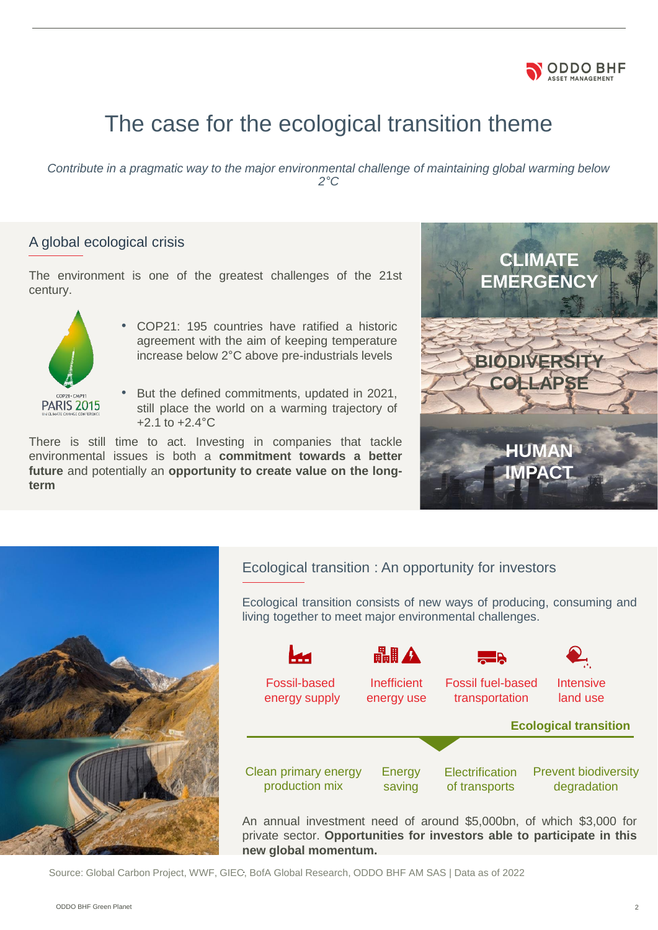

# The case for the ecological transition theme

*Contribute in a pragmatic way to the major environmental challenge of maintaining global warming below 2°C*

# A global ecological crisis

The environment is one of the greatest challenges of the 21st century.



- COP21: 195 countries have ratified a historic agreement with the aim of keeping temperature increase below 2°C above pre-industrials levels
- But the defined commitments, updated in 2021, still place the world on a warming trajectory of  $+2.1$  to  $+2.4$ °C

There is still time to act. Investing in companies that tackle environmental issues is both a **commitment towards a better future** and potentially an **opportunity to create value on the longterm**





Ecological transition : An opportunity for investors

Ecological transition consists of new ways of producing, consuming and living together to meet major environmental challenges.



An annual investment need of around \$5,000bn, of which \$3,000 for private sector. **Opportunities for investors able to participate in this new global momentum.**

Source: Global Carbon Project, WWF, GIEC, BofA Global Research, ODDO BHF AM SAS | Data as of 2022 .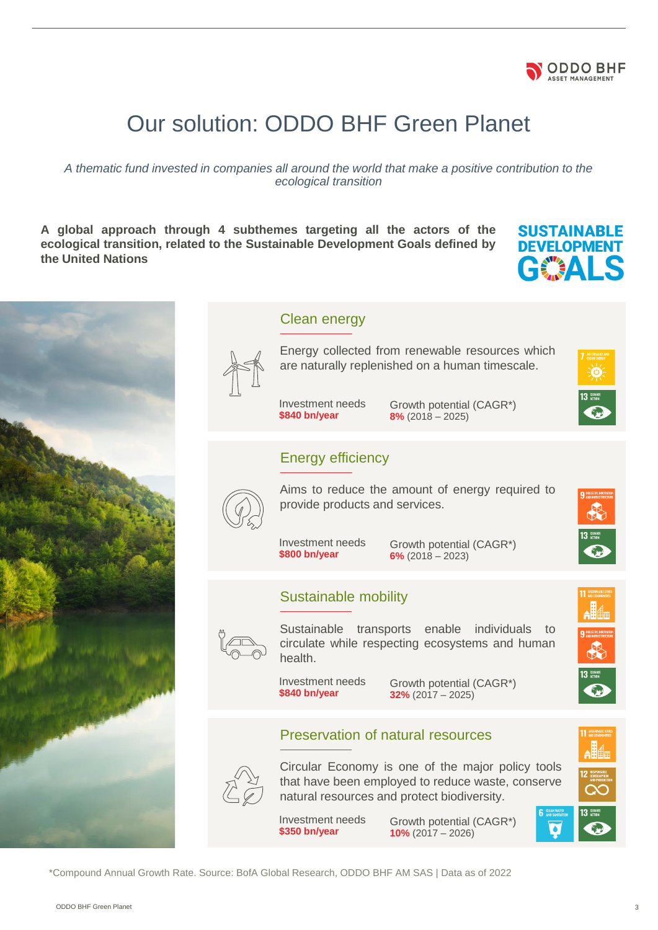

# Our solution: ODDO BHF Green Planet

*A thematic fund invested in companies all around the world that make a positive contribution to the ecological transition*

**A global approach through 4 subthemes targeting all the actors of the ecological transition, related to the Sustainable Development Goals defined by the United Nations**

# **SUSTAINABLE DEVELOPMENT** GEALS



\*Compound Annual Growth Rate. Source: BofA Global Research, ODDO BHF AM SAS | Data as of 2022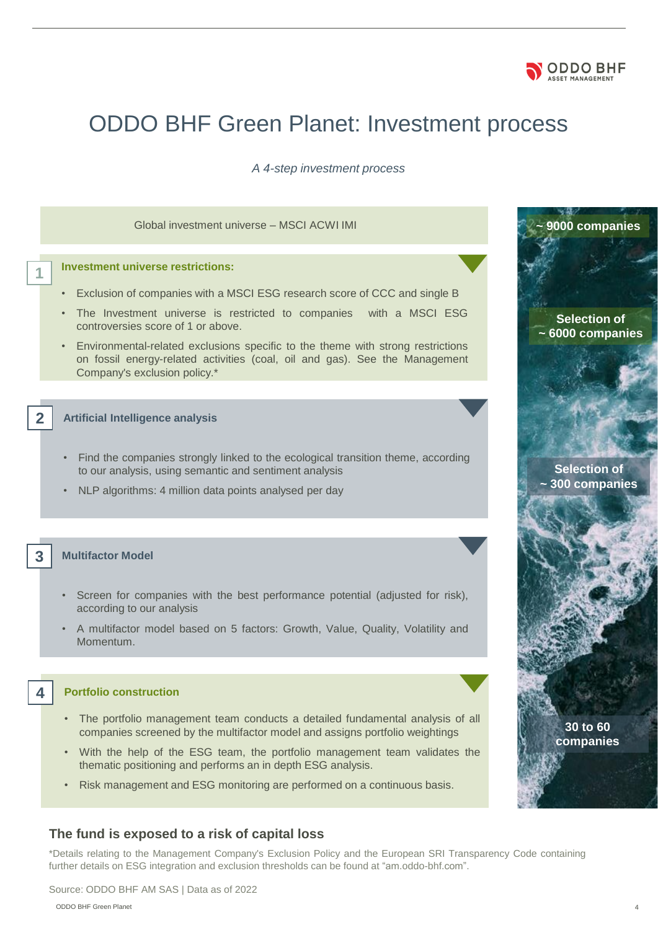

# ODDO BHF Green Planet: Investment process

*A 4-step investment process* 

#### Global investment universe – MSCI ACWI IMI **with a strategy of the strategy of the strategy of the strategy of the strategy of the strategy of the strategy of the strategy of the strategy of the strategy of the strategy of**

#### **Investment universe restrictions:**

**1**

**2**

**3**

**4**

- Exclusion of companies with a MSCI ESG research score of CCC and single B
- The Investment universe is restricted to companies with a MSCI ESG controversies score of 1 or above.
- Environmental-related exclusions specific to the theme with strong restrictions on fossil energy-related activities (coal, oil and gas). See the Management Company's exclusion policy.\*

#### **Artificial Intelligence analysis**

- Find the companies strongly linked to the ecological transition theme, according to our analysis, using semantic and sentiment analysis
- NLP algorithms: 4 million data points analysed per day

#### **Multifactor Model**

- Screen for companies with the best performance potential (adjusted for risk), according to our analysis
- A multifactor model based on 5 factors: Growth, Value, Quality, Volatility and Momentum.

#### **Portfolio construction**

- The portfolio management team conducts a detailed fundamental analysis of all companies screened by the multifactor model and assigns portfolio weightings
- With the help of the ESG team, the portfolio management team validates the thematic positioning and performs an in depth ESG analysis.
- Risk management and ESG monitoring are performed on a continuous basis.

#### **The fund is exposed to a risk of capital loss**

\*Details relating to the Management Company's Exclusion Policy and the European SRI Transparency Code containing further details on ESG integration and exclusion thresholds can be found at "am.oddo-bhf.com".

**Selection of ~ 6000 companies** 

**Selection of ~ 300 companies** 

> **30 to 60 companies**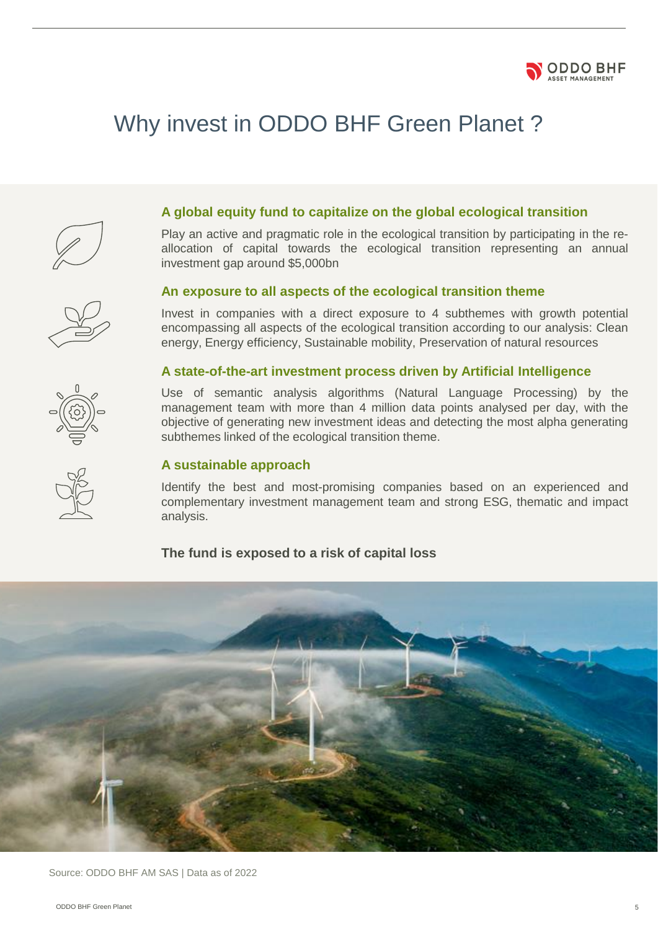

# Why invest in ODDO BHF Green Planet ?



## **A global equity fund to capitalize on the global ecological transition**

Play an active and pragmatic role in the ecological transition by participating in the reallocation of capital towards the ecological transition representing an annual investment gap around \$5,000bn

#### **An exposure to all aspects of the ecological transition theme**

Invest in companies with a direct exposure to 4 subthemes with growth potential encompassing all aspects of the ecological transition according to our analysis: Clean energy, Energy efficiency, Sustainable mobility, Preservation of natural resources

### **A state-of-the-art investment process driven by Artificial Intelligence**

Use of semantic analysis algorithms (Natural Language Processing) by the management team with more than 4 million data points analysed per day, with the objective of generating new investment ideas and detecting the most alpha generating subthemes linked of the ecological transition theme.

### **A sustainable approach**

Identify the best and most-promising companies based on an experienced and complementary investment management team and strong ESG, thematic and impact analysis.

### **The fund is exposed to a risk of capital loss**



Source: ODDO BHF AM SAS | Data as of 2022